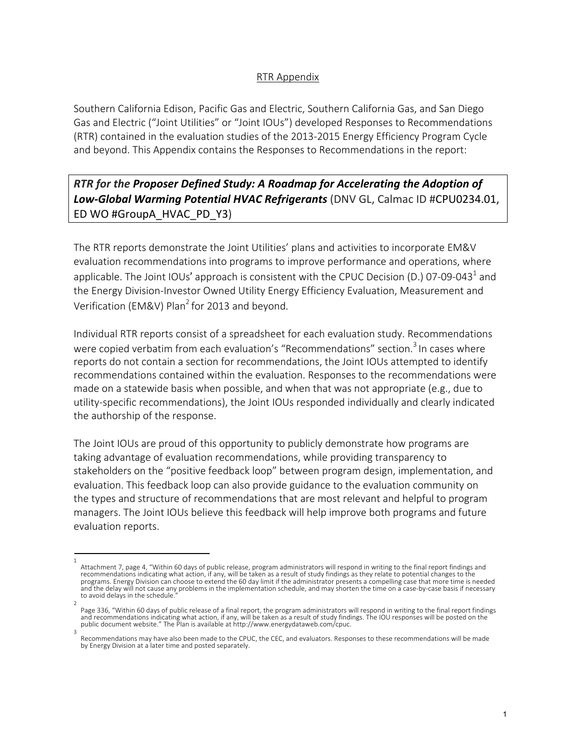## RTR Appendix

Southern California Edison, Pacific Gas and Electric, Southern California Gas, and San Diego Gas and Electric ("Joint Utilities" or "Joint IOUs") developed Responses to Recommendations (RTR) contained in the evaluation studies of the 2013-2015 Energy Efficiency Program Cycle and beyond. This Appendix contains the Responses to Recommendations in the report:

## *RTR for the Proposer Defined Study: A Roadmap for Accelerating the Adoption of Low-Global Warming Potential HVAC Refrigerants* (DNV GL, Calmac ID #CPU0234.01, ED WO #GroupA\_HVAC\_PD\_Y3)

The RTR reports demonstrate the Joint Utilities' plans and activities to incorporate EM&V evaluation recommendations into programs to improve performance and operations, where applicable. The Joint IOUs' approach is consistent with the CPUC Decision (D.) 07-09-043<sup>1</sup> and the Energy Division-Investor Owned Utility Energy Efficiency Evaluation, Measurement and Verification (EM&V) Plan<sup>2</sup> for 2013 and beyond.

Individual RTR reports consist of a spreadsheet for each evaluation study. Recommendations were copied verbatim from each evaluation's "Recommendations" section.<sup>3</sup> In cases where reports do not contain a section for recommendations, the Joint IOUs attempted to identify recommendations contained within the evaluation. Responses to the recommendations were made on a statewide basis when possible, and when that was not appropriate (e.g., due to utility-specific recommendations), the Joint IOUs responded individually and clearly indicated the authorship of the response.

The Joint IOUs are proud of this opportunity to publicly demonstrate how programs are taking advantage of evaluation recommendations, while providing transparency to stakeholders on the "positive feedback loop" between program design, implementation, and evaluation. This feedback loop can also provide guidance to the evaluation community on the types and structure of recommendations that are most relevant and helpful to program managers. The Joint IOUs believe this feedback will help improve both programs and future evaluation reports.

<sup>1</sup>  Attachment 7, page 4, "Within 60 days of public release, program administrators will respond in writing to the final report findings and recommendations indicating what action, if any, will be taken as a result of study findings as they relate to potential changes to the programs. Energy Division can choose to extend the 60 day limit if the administrator presents a compelling case that more time is needed and the delay will not cause any problems in the implementation schedule, and may shorten the time on a case-by-case basis if necessary to avoid delays in the schedule.

<sup>2</sup>  Page 336, "Within 60 days of public release of a final report, the program administrators will respond in writing to the final report findings and recommendations indicating what action, if any, will be taken as a result of study findings. The IOU responses will be posted on the public document website." The Plan is available at http://www.energydataweb.com/cpuc.

Recommendations may have also been made to the CPUC, the CEC, and evaluators. Responses to these recommendations will be made by Energy Division at a later time and posted separately.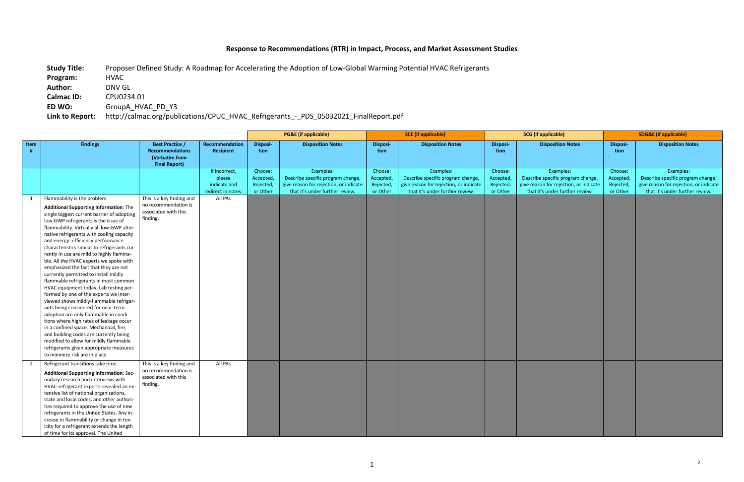## **Response to Recommendations (RTR) in Impact, Process, and Market Assessment Studies**

**Study Title:** Proposer Defined Study: A Roadmap for Accelerating the Adoption of Low-Global Warming Potential HVAC Refrigerants **Program:** HVAC **Author:** DNV GL **Calmac ID:** CPU0234.01 **ED WO:** GroupA\_HVAC\_PD\_Y3 **Link to Report:** http://calmac.org/publications/CPUC\_HVAC\_Refrigerants\_-\_PDS\_05032021\_FinalReport.pdf

|                |                                                                                                                                                                                                                                                                                                                                                                                                                                                                                                                                                                                                                                                                                                                                                                                                                                                                                                                                                                                                                                             |                                                                                            |                                                               | <b>PG&amp;E</b> (if applicable)               |                                                                                                                             |                                               | <b>SCE</b> (if applicable)                                                                                                  |                                               | <b>SCG</b> (if applicable)                                                                                                  | <b>SDG&amp;E (if applicable)</b>              |                                                                                                                             |  |
|----------------|---------------------------------------------------------------------------------------------------------------------------------------------------------------------------------------------------------------------------------------------------------------------------------------------------------------------------------------------------------------------------------------------------------------------------------------------------------------------------------------------------------------------------------------------------------------------------------------------------------------------------------------------------------------------------------------------------------------------------------------------------------------------------------------------------------------------------------------------------------------------------------------------------------------------------------------------------------------------------------------------------------------------------------------------|--------------------------------------------------------------------------------------------|---------------------------------------------------------------|-----------------------------------------------|-----------------------------------------------------------------------------------------------------------------------------|-----------------------------------------------|-----------------------------------------------------------------------------------------------------------------------------|-----------------------------------------------|-----------------------------------------------------------------------------------------------------------------------------|-----------------------------------------------|-----------------------------------------------------------------------------------------------------------------------------|--|
| Item           | <b>Findings</b>                                                                                                                                                                                                                                                                                                                                                                                                                                                                                                                                                                                                                                                                                                                                                                                                                                                                                                                                                                                                                             | <b>Best Practice /</b><br><b>Recommendations</b><br>(Verbatim from<br><b>Final Report)</b> | Recommendation<br><b>Recipient</b>                            | Disposi-<br>tion                              | <b>Disposition Notes</b>                                                                                                    | Disposi-<br>tion                              | <b>Disposition Notes</b>                                                                                                    | Disposi-<br>tion                              | <b>Disposition Notes</b>                                                                                                    | Disposi-<br>tion                              | <b>Disposition Notes</b>                                                                                                    |  |
|                |                                                                                                                                                                                                                                                                                                                                                                                                                                                                                                                                                                                                                                                                                                                                                                                                                                                                                                                                                                                                                                             |                                                                                            | If incorrect,<br>please<br>indicate and<br>redirect in notes. | Choose:<br>Accepted,<br>Rejected,<br>or Other | Examples:<br>Describe specific program change,<br>give reason for rejection, or indicate<br>that it's under further review. | Choose:<br>Accepted,<br>Rejected,<br>or Other | Examples:<br>Describe specific program change,<br>give reason for rejection, or indicate<br>that it's under further review. | Choose:<br>Accepted,<br>Rejected,<br>or Other | Examples:<br>Describe specific program change,<br>give reason for rejection, or indicate<br>that it's under further review. | Choose:<br>Accepted,<br>Rejected,<br>or Other | Examples:<br>Describe specific program change,<br>give reason for rejection, or indicate<br>that it's under further review. |  |
| $\overline{1}$ | Flammability is the problem.<br><b>Additional Supporting Information: The</b><br>single biggest current barrier of adopting<br>low-GWP refrigerants is the issue of<br>flammability. Virtually all low-GWP alter-<br>native refrigerants with cooling capacity<br>and energy- efficiency performance<br>characteristics similar to refrigerants cur-<br>rently in use are mild to highly flamma-<br>ble. All the HVAC experts we spoke with<br>emphasized the fact that they are not<br>currently permitted to install mildly<br>flammable refrigerants in most common<br>HVAC equipment today. Lab testing per-<br>formed by one of the experts we inter-<br>viewed shows mildly-flammable refriger-<br>ants being considered for near-term<br>adoption are only flammable in condi-<br>tions where high rates of leakage occur<br>in a confined space. Mechanical, fire,<br>and building codes are currently being<br>modified to allow for mildly flammable<br>refrigerants given appropriate measures<br>to minimize risk are in place. | This is a key finding and<br>no recommendation is<br>associated with this<br>finding.      | All PAs                                                       |                                               |                                                                                                                             |                                               |                                                                                                                             |                                               |                                                                                                                             |                                               |                                                                                                                             |  |
| $\overline{2}$ | Refrigerant transitions take time.<br><b>Additional Supporting Information: Sec-</b><br>ondary research and interviews with<br>HVAC-refrigerant experts revealed an ex-<br>tensive list of national organizations,<br>state and local codes, and other authori-<br>ties required to approve the use of new<br>refrigerants in the United States. Any in-<br>crease in flammability or change in tox-<br>icity for a refrigerant extends the length<br>of time for its approval. The United                                                                                                                                                                                                                                                                                                                                                                                                                                                                                                                                                  | This is a key finding and<br>no recommendation is<br>associated with this<br>finding.      | All PAs                                                       |                                               |                                                                                                                             |                                               |                                                                                                                             |                                               |                                                                                                                             |                                               |                                                                                                                             |  |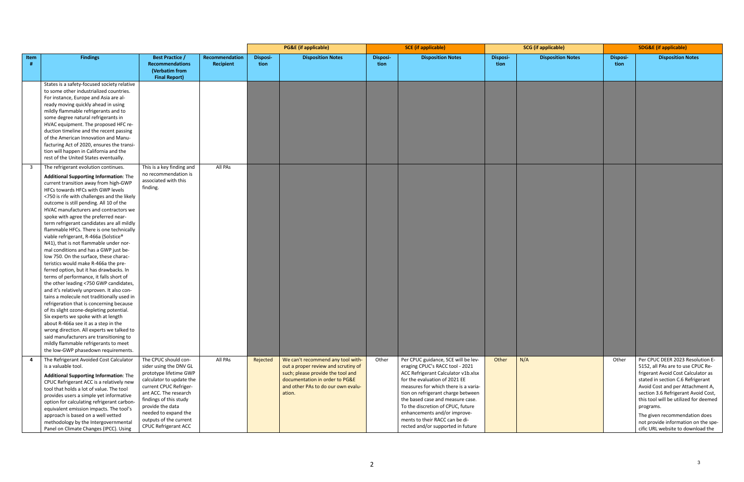|      |                                                                                                                                                                                                                                                                                                                                                                                                                                                                                                                                                                                                                                                                                                                                                                                                                                                                                                                                                                                                                                                                                                                                                                                                                                   |                                                                                                                                                                                                                                                                                 |                             | <b>PG&amp;E</b> (if applicable) |                                                                                                                                                                                                 | <b>SCE</b> (if applicable) |                                                                                                                                                                                                                                                                                                                                                                                                              | <b>SCG</b> (if applicable) |                          | <b>SDG&amp;E (if applicable)</b> |                                                                                                                                                                                                                                                                                                                                                                                                |
|------|-----------------------------------------------------------------------------------------------------------------------------------------------------------------------------------------------------------------------------------------------------------------------------------------------------------------------------------------------------------------------------------------------------------------------------------------------------------------------------------------------------------------------------------------------------------------------------------------------------------------------------------------------------------------------------------------------------------------------------------------------------------------------------------------------------------------------------------------------------------------------------------------------------------------------------------------------------------------------------------------------------------------------------------------------------------------------------------------------------------------------------------------------------------------------------------------------------------------------------------|---------------------------------------------------------------------------------------------------------------------------------------------------------------------------------------------------------------------------------------------------------------------------------|-----------------------------|---------------------------------|-------------------------------------------------------------------------------------------------------------------------------------------------------------------------------------------------|----------------------------|--------------------------------------------------------------------------------------------------------------------------------------------------------------------------------------------------------------------------------------------------------------------------------------------------------------------------------------------------------------------------------------------------------------|----------------------------|--------------------------|----------------------------------|------------------------------------------------------------------------------------------------------------------------------------------------------------------------------------------------------------------------------------------------------------------------------------------------------------------------------------------------------------------------------------------------|
| Item | <b>Findings</b>                                                                                                                                                                                                                                                                                                                                                                                                                                                                                                                                                                                                                                                                                                                                                                                                                                                                                                                                                                                                                                                                                                                                                                                                                   | <b>Best Practice /</b><br><b>Recommendations</b><br>(Verbatim from<br><b>Final Report)</b>                                                                                                                                                                                      | Recommendation<br>Recipient | Disposi-<br>tion                | <b>Disposition Notes</b>                                                                                                                                                                        | <b>Disposi-</b><br>tion    | <b>Disposition Notes</b>                                                                                                                                                                                                                                                                                                                                                                                     | Disposi-<br>tion           | <b>Disposition Notes</b> | <b>Disposi-</b><br>tion          | <b>Disposition Notes</b>                                                                                                                                                                                                                                                                                                                                                                       |
|      | States is a safety-focused society relative<br>to some other industrialized countries.<br>For instance, Europe and Asia are al-<br>ready moving quickly ahead in using<br>mildly flammable refrigerants and to<br>some degree natural refrigerants in<br>HVAC equipment. The proposed HFC re-<br>duction timeline and the recent passing<br>of the American Innovation and Manu-<br>facturing Act of 2020, ensures the transi-<br>tion will happen in California and the<br>rest of the United States eventually.                                                                                                                                                                                                                                                                                                                                                                                                                                                                                                                                                                                                                                                                                                                 |                                                                                                                                                                                                                                                                                 |                             |                                 |                                                                                                                                                                                                 |                            |                                                                                                                                                                                                                                                                                                                                                                                                              |                            |                          |                                  |                                                                                                                                                                                                                                                                                                                                                                                                |
|      | The refrigerant evolution continues.<br><b>Additional Supporting Information: The</b><br>current transition away from high-GWP<br>HFCs towards HFCs with GWP levels<br><750 is rife with challenges and the likely<br>outcome is still pending. All 10 of the<br>HVAC manufacturers and contractors we<br>spoke with agree the preferred near-<br>term refrigerant candidates are all mildly<br>flammable HFCs. There is one technically<br>viable refrigerant, R-466a (Solstice®<br>N41), that is not flammable under nor-<br>mal conditions and has a GWP just be-<br>low 750. On the surface, these charac-<br>teristics would make R-466a the pre-<br>ferred option, but it has drawbacks. In<br>terms of performance, it falls short of<br>the other leading <750 GWP candidates,<br>and it's relatively unproven. It also con-<br>tains a molecule not traditionally used in<br>refrigeration that is concerning because<br>of its slight ozone-depleting potential.<br>Six experts we spoke with at length<br>about R-466a see it as a step in the<br>wrong direction. All experts we talked to<br>said manufacturers are transitioning to<br>mildly flammable refrigerants to meet<br>the low-GWP phasedown requirements. | This is a key finding and<br>no recommendation is<br>associated with this<br>finding.                                                                                                                                                                                           | All PAs                     |                                 |                                                                                                                                                                                                 |                            |                                                                                                                                                                                                                                                                                                                                                                                                              |                            |                          |                                  |                                                                                                                                                                                                                                                                                                                                                                                                |
|      | The Refrigerant Avoided Cost Calculator<br>is a valuable tool.<br><b>Additional Supporting Information: The</b><br>CPUC Refrigerant ACC is a relatively new<br>tool that holds a lot of value. The tool<br>provides users a simple yet informative<br>option for calculating refrigerant carbon-<br>equivalent emission impacts. The tool's<br>approach is based on a well vetted<br>methodology by the Intergovernmental<br>Panel on Climate Changes (IPCC). Using                                                                                                                                                                                                                                                                                                                                                                                                                                                                                                                                                                                                                                                                                                                                                               | The CPUC should con-<br>sider using the DNV GL<br>prototype lifetime GWP<br>calculator to update the<br>current CPUC Refriger-<br>ant ACC. The research<br>findings of this study<br>provide the data<br>needed to expand the<br>outputs of the current<br>CPUC Refrigerant ACC | All PAs                     | Rejected                        | We can't recommend any tool with-<br>out a proper review and scrutiny of<br>such; please provide the tool and<br>documentation in order to PG&E<br>and other PAs to do our own evalu-<br>ation. | Other                      | Per CPUC guidance, SCE will be lev-<br>eraging CPUC's RACC tool - 2021<br>ACC Refrigerant Calculator v1b.xlsx<br>for the evaluation of 2021 EE<br>measures for which there is a varia-<br>tion on refrigerant charge between<br>the based case and measure case.<br>To the discretion of CPUC, future<br>enhancements and/or improve-<br>ments to their RACC can be di-<br>rected and/or supported in future | Other                      | N/A                      | Other                            | Per CPUC DEER 2023 Resolution E-<br>5152, all PAs are to use CPUC Re-<br>frigerant Avoid Cost Calculator as<br>stated in section C.6 Refrigerant<br>Avoid Cost and per Attachment A,<br>section 3.6 Refrigerant Avoid Cost,<br>this tool will be utilized for deemed<br>programs.<br>The given recommendation does<br>not provide information on the spe-<br>cific URL website to download the |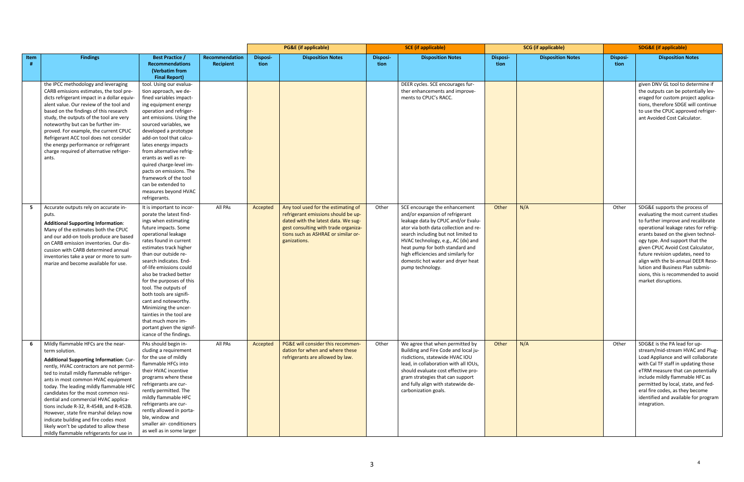|      |                                                                                                                                                                                                                                                                                                                                                                                                                                                                                                                                                                                |                                                                                                                                                                                                                                                                                                                                                                                                                                                                                                                                  |                                    | <b>PG&amp;E</b> (if applicable) |                                                                                                                                                                                                                  | <b>SCE</b> (if applicable) |                                                                                                                                                                                                                                                                                                                                                                 | <b>SCG</b> (if applicable) |                          | <b>SDG&amp;E (if applicable)</b> |                                                                                                                                                                                                                                                                                                                                                                                                                                               |
|------|--------------------------------------------------------------------------------------------------------------------------------------------------------------------------------------------------------------------------------------------------------------------------------------------------------------------------------------------------------------------------------------------------------------------------------------------------------------------------------------------------------------------------------------------------------------------------------|----------------------------------------------------------------------------------------------------------------------------------------------------------------------------------------------------------------------------------------------------------------------------------------------------------------------------------------------------------------------------------------------------------------------------------------------------------------------------------------------------------------------------------|------------------------------------|---------------------------------|------------------------------------------------------------------------------------------------------------------------------------------------------------------------------------------------------------------|----------------------------|-----------------------------------------------------------------------------------------------------------------------------------------------------------------------------------------------------------------------------------------------------------------------------------------------------------------------------------------------------------------|----------------------------|--------------------------|----------------------------------|-----------------------------------------------------------------------------------------------------------------------------------------------------------------------------------------------------------------------------------------------------------------------------------------------------------------------------------------------------------------------------------------------------------------------------------------------|
| Item | <b>Findings</b>                                                                                                                                                                                                                                                                                                                                                                                                                                                                                                                                                                | <b>Best Practice /</b><br><b>Recommendations</b><br>(Verbatim from<br><b>Final Report)</b>                                                                                                                                                                                                                                                                                                                                                                                                                                       | Recommendation<br><b>Recipient</b> | Disposi-<br>tion                | <b>Disposition Notes</b>                                                                                                                                                                                         | <b>Disposi-</b><br>tion    | <b>Disposition Notes</b>                                                                                                                                                                                                                                                                                                                                        | Disposi-<br>tion           | <b>Disposition Notes</b> | <b>Disposi-</b><br>tion          | <b>Disposition Notes</b>                                                                                                                                                                                                                                                                                                                                                                                                                      |
|      | the IPCC methodology and leveraging<br>CARB emissions estimates, the tool pre-<br>dicts refrigerant impact in a dollar equiv-<br>alent value. Our review of the tool and<br>based on the findings of this research<br>study, the outputs of the tool are very<br>noteworthy but can be further im-<br>proved. For example, the current CPUC<br>Refrigerant ACC tool does not consider<br>the energy performance or refrigerant<br>charge required of alternative refriger-<br>ants.                                                                                            | tool. Using our evalua-<br>tion approach, we de-<br>fined variables impact-<br>ing equipment energy<br>operation and refriger-<br>ant emissions. Using the<br>sourced variables, we<br>developed a prototype<br>add-on tool that calcu-<br>lates energy impacts<br>from alternative refrig-<br>erants as well as re-<br>quired charge-level im-<br>pacts on emissions. The<br>framework of the tool<br>can be extended to<br>measures beyond HVAC<br>refrigerants.                                                               |                                    |                                 |                                                                                                                                                                                                                  |                            | DEER cycles. SCE encourages fur-<br>ther enhancements and improve-<br>ments to CPUC's RACC.                                                                                                                                                                                                                                                                     |                            |                          |                                  | given DNV GL tool to determine if<br>the outputs can be potentially lev-<br>eraged for custom project applica-<br>tions, therefore SDGE will continue<br>to use the CPUC approved refriger-<br>ant Avoided Cost Calculator.                                                                                                                                                                                                                   |
|      | Accurate outputs rely on accurate in-<br>puts.<br><b>Additional Supporting Information:</b><br>Many of the estimates both the CPUC<br>and our add-on tools produce are based<br>on CARB emission inventories. Our dis-<br>cussion with CARB determined annual<br>inventories take a year or more to sum-<br>marize and become available for use.                                                                                                                                                                                                                               | It is important to incor-<br>porate the latest find-<br>ings when estimating<br>future impacts. Some<br>operational leakage<br>rates found in current<br>estimates track higher<br>than our outside re-<br>search indicates. End-<br>of-life emissions could<br>also be tracked better<br>for the purposes of this<br>tool. The outputs of<br>both tools are signifi-<br>cant and noteworthy.<br>Minimizing the uncer-<br>tainties in the tool are<br>that much more im-<br>portant given the signif-<br>icance of the findings. | All PAs                            | Accepted                        | Any tool used for the estimating of<br>refrigerant emissions should be up-<br>dated with the latest data. We sug-<br>gest consulting with trade organiza-<br>tions such as ASHRAE or similar or-<br>ganizations. | Other                      | SCE encourage the enhancement<br>and/or expansion of refrigerant<br>leakage data by CPUC and/or Evalu-<br>ator via both data collection and re-<br>search including but not limited to<br>HVAC technology, e.g., AC (dx) and<br>heat pump for both standard and<br>high efficiencies and similarly for<br>domestic hot water and dryer heat<br>pump technology. | Other                      | N/A                      | Other                            | SDG&E supports the process of<br>evaluating the most current studies<br>to further improve and recalibrate<br>operational leakage rates for refrig-<br>erants based on the given technol-<br>ogy type. And support that the<br>given CPUC Avoid Cost Calculator,<br>future revision updates, need to<br>align with the bi-annual DEER Reso-<br>lution and Business Plan submis-<br>sions, this is recommended to avoid<br>market disruptions. |
| -6   | Mildly flammable HFCs are the near-<br>term solution.<br>Additional Supporting Information: Cur-<br>rently, HVAC contractors are not permit-<br>ted to install mildly flammable refriger-<br>ants in most common HVAC equipment<br>today. The leading mildly flammable HFC<br>candidates for the most common resi-<br>dential and commercial HVAC applica-<br>tions include R-32, R-454B, and R-452B.<br>However, state fire marshal delays now<br>indicate building and fire codes most<br>likely won't be updated to allow these<br>mildly flammable refrigerants for use in | PAs should begin in-<br>cluding a requirement<br>for the use of mildly<br>flammable HFCs into<br>their HVAC incentive<br>programs where these<br>refrigerants are cur-<br>rently permitted. The<br>mildly flammable HFC<br>refrigerants are cur-<br>rently allowed in porta-<br>ble, window and<br>smaller air-conditioners<br>as well as in some larger                                                                                                                                                                         | All PAs                            | Accepted                        | PG&E will consider this recommen-<br>dation for when and where these<br>refrigerants are allowed by law.                                                                                                         | Other                      | We agree that when permitted by<br>Building and Fire Code and local ju-<br>risdictions, statewide HVAC IOU<br>lead, in collaboration with all IOUs,<br>should evaluate cost effective pro-<br>gram strategies that can support<br>and fully align with statewide de-<br>carbonization goals.                                                                    | Other                      | N/A                      | Other                            | SDG&E is the PA lead for up-<br>stream/mid-stream HVAC and Plug-<br>Load Appliance and will collaborate<br>with Cal TF staff in updating those<br>eTRM measure that can potentially<br>include mildly flammable HFC as<br>permitted by local, state, and fed-<br>eral fire codes, as they become<br>identified and available for program<br>integration.                                                                                      |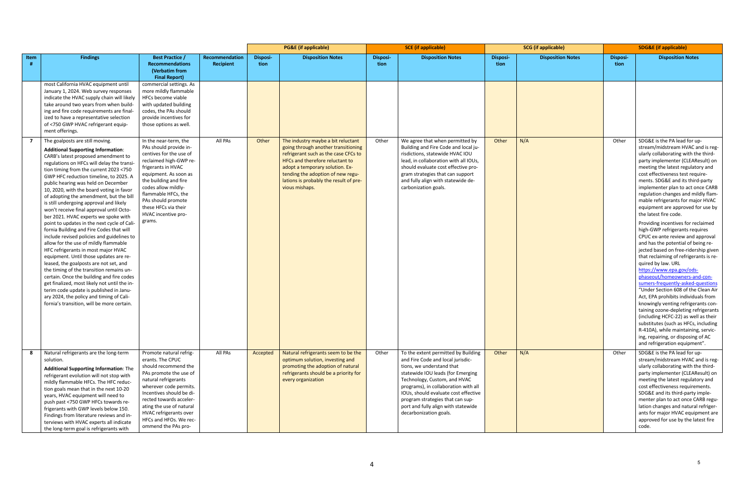|      |                                                                                                                                                                                                                                                                                                                                                                                                                                                                                                                                                                                                                                                                                                                                                                                                                                                                                                                                                                                                                                                                            |                                                                                                                                                                                                                                                                                                               |                             |                         | <b>PG&amp;E</b> (if applicable)                                                                                                                                                                                                                    |                         | <b>SCE</b> (if applicable)                                                                                                                                                                                                                                                                                                                                      |                  | <b>SCG</b> (if applicable) |                  | <b>SDG&amp;E (if applicable)</b>                                                                                                                                                                                                                                                                                                                                                                                                                                                                                                                                                                                                                                                                                                                                                                                                                                                                                                                                                                                                                                                                                                 |
|------|----------------------------------------------------------------------------------------------------------------------------------------------------------------------------------------------------------------------------------------------------------------------------------------------------------------------------------------------------------------------------------------------------------------------------------------------------------------------------------------------------------------------------------------------------------------------------------------------------------------------------------------------------------------------------------------------------------------------------------------------------------------------------------------------------------------------------------------------------------------------------------------------------------------------------------------------------------------------------------------------------------------------------------------------------------------------------|---------------------------------------------------------------------------------------------------------------------------------------------------------------------------------------------------------------------------------------------------------------------------------------------------------------|-----------------------------|-------------------------|----------------------------------------------------------------------------------------------------------------------------------------------------------------------------------------------------------------------------------------------------|-------------------------|-----------------------------------------------------------------------------------------------------------------------------------------------------------------------------------------------------------------------------------------------------------------------------------------------------------------------------------------------------------------|------------------|----------------------------|------------------|----------------------------------------------------------------------------------------------------------------------------------------------------------------------------------------------------------------------------------------------------------------------------------------------------------------------------------------------------------------------------------------------------------------------------------------------------------------------------------------------------------------------------------------------------------------------------------------------------------------------------------------------------------------------------------------------------------------------------------------------------------------------------------------------------------------------------------------------------------------------------------------------------------------------------------------------------------------------------------------------------------------------------------------------------------------------------------------------------------------------------------|
| Item | <b>Findings</b>                                                                                                                                                                                                                                                                                                                                                                                                                                                                                                                                                                                                                                                                                                                                                                                                                                                                                                                                                                                                                                                            | <b>Best Practice /</b><br><b>Recommendations</b><br>(Verbatim from<br><b>Final Report)</b>                                                                                                                                                                                                                    | Recommendation<br>Recipient | <b>Disposi-</b><br>tion | <b>Disposition Notes</b>                                                                                                                                                                                                                           | <b>Disposi-</b><br>tion | <b>Disposition Notes</b>                                                                                                                                                                                                                                                                                                                                        | Disposi-<br>tion | <b>Disposition Notes</b>   | Disposi-<br>tion | <b>Disposition Notes</b>                                                                                                                                                                                                                                                                                                                                                                                                                                                                                                                                                                                                                                                                                                                                                                                                                                                                                                                                                                                                                                                                                                         |
|      | most California HVAC equipment until<br>January 1, 2024. Web survey responses<br>indicate the HVAC supply chain will likely<br>take around two years from when build-<br>ing and fire code requirements are final-<br>ized to have a representative selection<br>of <750 GWP HVAC refrigerant equip-<br>ment offerings.<br>The goalposts are still moving.                                                                                                                                                                                                                                                                                                                                                                                                                                                                                                                                                                                                                                                                                                                 | commercial settings. As<br>more mildly flammable<br>HFCs become viable<br>with updated building<br>codes, the PAs should<br>provide incentives for<br>those options as well.<br>In the near-term, the                                                                                                         | All PAs                     | Other                   | The industry maybe a bit reluctant                                                                                                                                                                                                                 | Other                   | We agree that when permitted by                                                                                                                                                                                                                                                                                                                                 | Other            | N/A                        | Other            | SDG&E is the PA lead for up-                                                                                                                                                                                                                                                                                                                                                                                                                                                                                                                                                                                                                                                                                                                                                                                                                                                                                                                                                                                                                                                                                                     |
|      | <b>Additional Supporting Information:</b><br>CARB's latest proposed amendment to<br>regulations on HFCs will delay the transi-<br>tion timing from the current 2023 <750<br>GWP HFC reduction timeline, to 2025. A<br>public hearing was held on December<br>10, 2020, with the board voting in favor<br>of adopting the amendment, but the bill<br>is still undergoing approval and likely<br>won't receive final approval until Octo-<br>ber 2021. HVAC experts we spoke with<br>point to updates in the next cycle of Cali-<br>fornia Building and Fire Codes that will<br>include revised policies and guidelines to<br>allow for the use of mildly flammable<br>HFC refrigerants in most major HVAC<br>equipment. Until those updates are re-<br>leased, the goalposts are not set, and<br>the timing of the transition remains un-<br>certain. Once the building and fire codes<br>get finalized, most likely not until the in-<br>terim code update is published in Janu-<br>ary 2024, the policy and timing of Cali-<br>fornia's transition, will be more certain. | PAs should provide in-<br>centives for the use of<br>reclaimed high-GWP re-<br>frigerants in HVAC<br>equipment. As soon as<br>the building and fire<br>codes allow mildly-<br>flammable HFCs, the<br>PAs should promote<br>these HFCs via their<br>HVAC incentive pro-<br>grams.                              |                             |                         | going through another transitioning<br>refrigerant such as the case CFCs to<br>HFCs and therefore reluctant to<br>adopt a temporary solution. Ex-<br>tending the adoption of new regu-<br>lations is probably the result of pre-<br>vious mishaps. |                         | Building and Fire Code and local ju-<br>risdictions, statewide HVAC IOU<br>lead, in collaboration with all IOUs,<br>should evaluate cost effective pro-<br>gram strategies that can support<br>and fully align with statewide de-<br>carbonization goals.                                                                                                       |                  |                            |                  | stream/midstream HVAC and is reg-<br>ularly collaborating with the third-<br>party implementer (CLEAResult) on<br>meeting the latest regulatory and<br>cost effectiveness test require-<br>ments. SDG&E and its third-party<br>implementer plan to act once CARB<br>regulation changes and mildly flam-<br>mable refrigerants for major HVAC<br>equipment are approved for use by<br>the latest fire code.<br>Providing incentives for reclaimed<br>high-GWP refrigerants requires<br>CPUC ex-ante review and approval<br>and has the potential of being re-<br>jected based on free-ridership given<br>that reclaiming of refrigerants is re-<br>quired by law. URL<br>https://www.epa.gov/ods-<br>phaseout/homeowners-and-con-<br>sumers-frequently-asked-questions<br>"Under Section 608 of the Clean Air<br>Act, EPA prohibits individuals from<br>knowingly venting refrigerants con-<br>taining ozone-depleting refrigerants<br>(including HCFC-22) as well as their<br>substitutes (such as HFCs, including<br>R-410A), while maintaining, servic-<br>ing, repairing, or disposing of AC<br>and refrigeration equipment". |
|      | Natural refrigerants are the long-term<br>solution.<br><b>Additional Supporting Information: The</b><br>refrigerant evolution will not stop with<br>mildly flammable HFCs. The HFC reduc-<br>tion goals mean that in the next 10-20<br>years, HVAC equipment will need to<br>push past <750 GWP HFCs towards re-<br>frigerants with GWP levels below 150.<br>Findings from literature reviews and in-<br>terviews with HVAC experts all indicate<br>the long-term goal is refrigerants with                                                                                                                                                                                                                                                                                                                                                                                                                                                                                                                                                                                | Promote natural refrig-<br>erants. The CPUC<br>should recommend the<br>PAs promote the use of<br>natural refrigerants<br>wherever code permits.<br>Incentives should be di-<br>rected towards acceler-<br>ating the use of natural<br>HVAC refrigerants over<br>HFCs and HFOs. We rec-<br>ommend the PAs pro- | All PAs                     | Accepted                | Natural refrigerants seem to be the<br>optimum solution, investing and<br>promoting the adoption of natural<br>refrigerants should be a priority for<br>every organization                                                                         | Other                   | To the extent permitted by Building<br>and Fire Code and local jurisdic-<br>tions, we understand that<br>statewide IOU leads (for Emerging<br>Technology, Custom, and HVAC<br>programs), in collaboration with all<br>IOUs, should evaluate cost effective<br>program strategies that can sup-<br>port and fully align with statewide<br>decarbonization goals. | Other            | N/A                        | Other            | SDG&E is the PA lead for up-<br>stream/midstream HVAC and is reg-<br>ularly collaborating with the third-<br>party implementer (CLEAResult) on<br>meeting the latest regulatory and<br>cost effectiveness requirements.<br>SDG&E and its third-party imple-<br>menter plan to act once CARB regu-<br>lation changes and natural refriger-<br>ants for major HVAC equipment are<br>approved for use by the latest fire<br>code.                                                                                                                                                                                                                                                                                                                                                                                                                                                                                                                                                                                                                                                                                                   |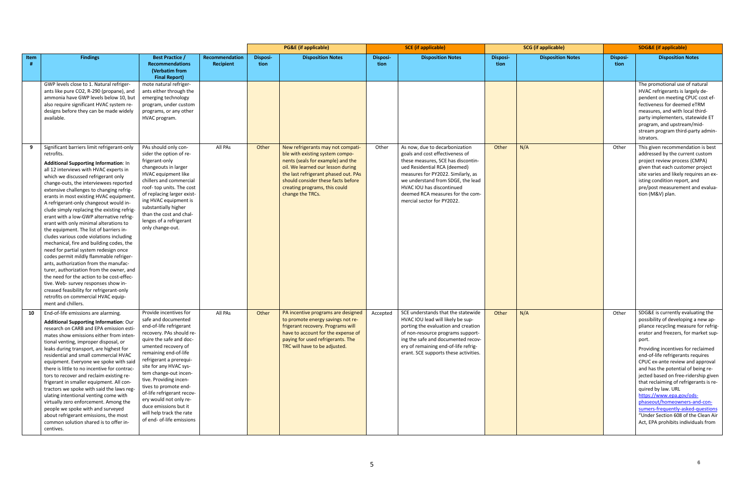|      |                                                                                                                                                                                                                                                                                                                                                                                                                                                                                                                                                                                                                                                                                                                                                                                                                                                                                                                                                                                                               |                                                                                                                                                                                                                                                                                                                                                                                                                                                            |                             | <b>PG&amp;E</b> (if applicable) |                                                                                                                                                                                                                                                                                   | <b>SCE</b> (if applicable) |                                                                                                                                                                                                                                                                                                                   | <b>SCG</b> (if applicable) |                          | <b>SDG&amp;E (if applicable)</b> |                                                                                                                                                                                                                                                                                                                                                                                                                                                                                                                                                                                                                |
|------|---------------------------------------------------------------------------------------------------------------------------------------------------------------------------------------------------------------------------------------------------------------------------------------------------------------------------------------------------------------------------------------------------------------------------------------------------------------------------------------------------------------------------------------------------------------------------------------------------------------------------------------------------------------------------------------------------------------------------------------------------------------------------------------------------------------------------------------------------------------------------------------------------------------------------------------------------------------------------------------------------------------|------------------------------------------------------------------------------------------------------------------------------------------------------------------------------------------------------------------------------------------------------------------------------------------------------------------------------------------------------------------------------------------------------------------------------------------------------------|-----------------------------|---------------------------------|-----------------------------------------------------------------------------------------------------------------------------------------------------------------------------------------------------------------------------------------------------------------------------------|----------------------------|-------------------------------------------------------------------------------------------------------------------------------------------------------------------------------------------------------------------------------------------------------------------------------------------------------------------|----------------------------|--------------------------|----------------------------------|----------------------------------------------------------------------------------------------------------------------------------------------------------------------------------------------------------------------------------------------------------------------------------------------------------------------------------------------------------------------------------------------------------------------------------------------------------------------------------------------------------------------------------------------------------------------------------------------------------------|
| Item | <b>Findings</b>                                                                                                                                                                                                                                                                                                                                                                                                                                                                                                                                                                                                                                                                                                                                                                                                                                                                                                                                                                                               | <b>Best Practice /</b><br><b>Recommendations</b><br>(Verbatim from<br><b>Final Report)</b>                                                                                                                                                                                                                                                                                                                                                                 | Recommendation<br>Recipient | Disposi-<br>tion                | <b>Disposition Notes</b>                                                                                                                                                                                                                                                          | Disposi-<br>tion           | <b>Disposition Notes</b>                                                                                                                                                                                                                                                                                          | Disposi-<br>tion           | <b>Disposition Notes</b> | Disposi-<br>tion                 | <b>Disposition Notes</b>                                                                                                                                                                                                                                                                                                                                                                                                                                                                                                                                                                                       |
|      | GWP levels close to 1. Natural refriger-<br>ants like pure CO2, R-290 (propane), and<br>ammonia have GWP levels below 10, but<br>also require significant HVAC system re-<br>designs before they can be made widely<br>available.                                                                                                                                                                                                                                                                                                                                                                                                                                                                                                                                                                                                                                                                                                                                                                             | mote natural refriger-<br>ants either through the<br>emerging technology<br>program, under custom<br>programs, or any other<br>HVAC program.                                                                                                                                                                                                                                                                                                               |                             |                                 |                                                                                                                                                                                                                                                                                   |                            |                                                                                                                                                                                                                                                                                                                   |                            |                          |                                  | The promotional use of natural<br>HVAC refrigerants is largely de-<br>pendent on meeting CPUC cost ef-<br>fectiveness for deemed eTRM<br>measures, and with local third-<br>party implementers, statewide ET<br>program, and upstream/mid-<br>stream program third-party admin-<br>istrators.                                                                                                                                                                                                                                                                                                                  |
| 9    | Significant barriers limit refrigerant-only<br>retrofits.<br>Additional Supporting Information: In<br>all 12 interviews with HVAC experts in<br>which we discussed refrigerant only<br>change-outs, the interviewees reported<br>extensive challenges to changing refrig-<br>erants in most existing HVAC equipment.<br>A refrigerant-only changeout would in-<br>clude simply replacing the existing refrig-<br>erant with a low-GWP alternative refrig-<br>erant with only minimal alterations to<br>the equipment. The list of barriers in-<br>cludes various code violations including<br>mechanical, fire and building codes, the<br>need for partial system redesign once<br>codes permit mildly flammable refriger-<br>ants, authorization from the manufac-<br>turer, authorization from the owner, and<br>the need for the action to be cost-effec-<br>tive. Web- survey responses show in-<br>creased feasibility for refrigerant-only<br>retrofits on commercial HVAC equip-<br>ment and chillers. | PAs should only con-<br>sider the option of re-<br>frigerant-only<br>changeouts in larger<br>HVAC equipment like<br>chillers and commercial<br>roof-top units. The cost<br>of replacing larger exist-<br>ing HVAC equipment is<br>substantially higher<br>than the cost and chal-<br>lenges of a refrigerant<br>only change-out.                                                                                                                           | All PAs                     | Other                           | New refrigerants may not compati-<br>ble with existing system compo-<br>nents (seals for example) and the<br>oil. We learned our lesson during<br>the last refrigerant phased out. PAs<br>should consider these facts before<br>creating programs, this could<br>change the TRCs. | Other                      | As now, due to decarbonization<br>goals and cost effectiveness of<br>these measures, SCE has discontin-<br>ued Residential RCA (deemed)<br>measures for PY2022. Similarly, as<br>we understand from SDGE, the lead<br>HVAC IOU has discontinued<br>deemed RCA measures for the com-<br>mercial sector for PY2022. | Other                      | N/A                      | Other                            | This given recommendation is best<br>addressed by the current custom<br>project review process (CMPA)<br>given that each customer project<br>site varies and likely requires an ex-<br>isting condition report, and<br>pre/post measurement and evalua-<br>tion (M&V) plan.                                                                                                                                                                                                                                                                                                                                    |
| 10   | End-of-life emissions are alarming.<br><b>Additional Supporting Information: Our</b><br>research on CARB and EPA emission esti-<br>mates show emissions either from inten-<br>tional venting, improper disposal, or<br>leaks during transport, are highest for<br>residential and small commercial HVAC<br>equipment. Everyone we spoke with said<br>there is little to no incentive for contrac-<br>tors to recover and reclaim existing re-<br>frigerant in smaller equipment. All con-<br>tractors we spoke with said the laws reg-<br>ulating intentional venting come with<br>virtually zero enforcement. Among the<br>people we spoke with and surveyed<br>about refrigerant emissions, the most<br>common solution shared is to offer in-<br>centives.                                                                                                                                                                                                                                                 | Provide incentives for<br>safe and documented<br>end-of-life refrigerant<br>recovery. PAs should re-<br>quire the safe and doc-<br>umented recovery of<br>remaining end-of-life<br>refrigerant a prerequi-<br>site for any HVAC sys-<br>tem change-out incen-<br>tive. Providing incen-<br>tives to promote end-<br>of-life refrigerant recov-<br>ery would not only re-<br>duce emissions but it<br>will help track the rate<br>of end- of-life emissions | All PAs                     | Other                           | PA incentive programs are designed<br>to promote energy savings not re-<br>frigerant recovery. Programs will<br>have to account for the expense of<br>paying for used refrigerants. The<br>TRC will have to be adjusted.                                                          | Accepted                   | SCE understands that the statewide<br>HVAC IOU lead will likely be sup-<br>porting the evaluation and creation<br>of non-resource programs support-<br>ing the safe and documented recov-<br>ery of remaining end-of-life refrig-<br>erant. SCE supports these activities.                                        | Other                      | N/A                      | Other                            | SDG&E is currently evaluating the<br>possibility of developing a new ap-<br>pliance recycling measure for refrig-<br>erator and freezers, for market sup-<br>port.<br>Providing incentives for reclaimed<br>end-of-life refrigerants requires<br>CPUC ex-ante review and approval<br>and has the potential of being re-<br>jected based on free-ridership given<br>that reclaiming of refrigerants is re-<br>quired by law. URL<br>https://www.epa.gov/ods-<br>phaseout/homeowners-and-con-<br>sumers-frequently-asked-questions<br>"Under Section 608 of the Clean Air<br>Act, EPA prohibits individuals from |